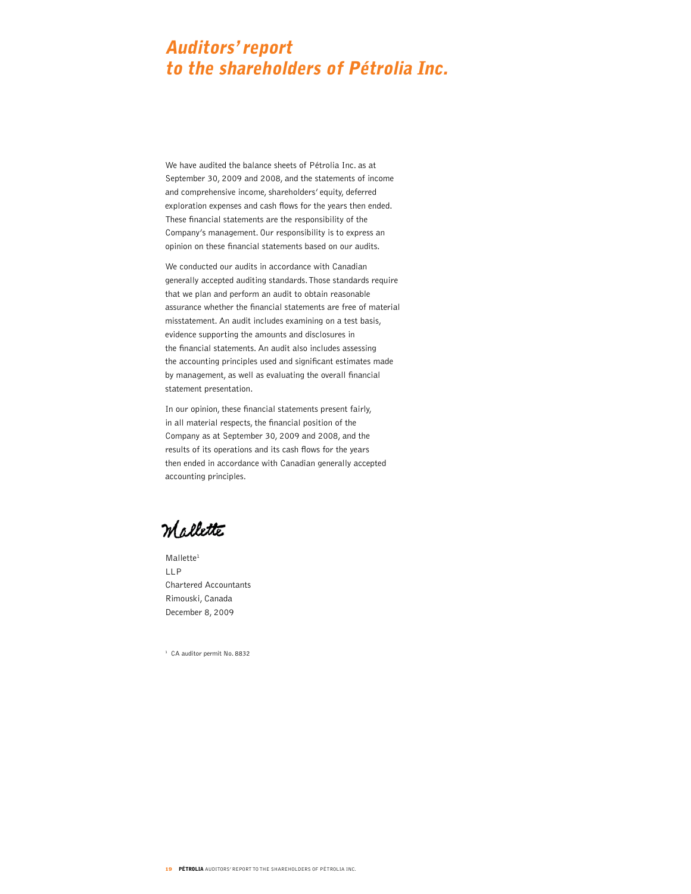# Auditors' report to the shareholders of Pétrolia Inc.

We have audited the balance sheets of Pétrolia Inc. as at September 30, 2009 and 2008, and the statements of income and comprehensive income, shareholders' equity, deferred exploration expenses and cash flows for the years then ended. These financial statements are the responsibility of the Company's management. Our responsibility is to express an opinion on these financial statements based on our audits.

We conducted our audits in accordance with Canadian generally accepted auditing standards. Those standards require that we plan and perform an audit to obtain reasonable assurance whether the financial statements are free of material misstatement. An audit includes examining on a test basis, evidence supporting the amounts and disclosures in the financial statements. An audit also includes assessing the accounting principles used and significant estimates made by management, as well as evaluating the overall financial statement presentation.

In our opinion, these financial statements present fairly, in all material respects, the financial position of the Company as at September 30, 2009 and 2008, and the results of its operations and its cash flows for the years then ended in accordance with Canadian generally accepted accounting principles.

m selette

Mallette<sup>1</sup> LLP Chartered Accountants Rimouski, Canada December 8, 2009

<sup>1</sup> CA auditor permit No. 8832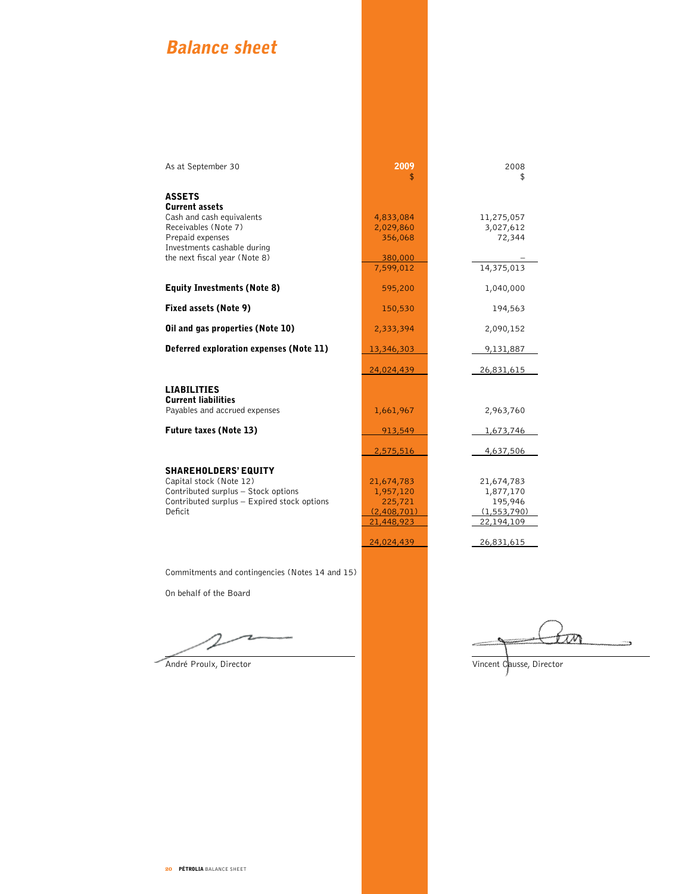# Balance sheet

| As at September 30                                             | 2009                   | 2008                    |
|----------------------------------------------------------------|------------------------|-------------------------|
|                                                                | \$                     | \$                      |
| <b>ASSETS</b>                                                  |                        |                         |
| <b>Current assets</b>                                          |                        |                         |
| Cash and cash equivalents<br>Receivables (Note 7)              | 4,833,084<br>2,029,860 | 11,275,057<br>3,027,612 |
| Prepaid expenses                                               | 356,068                | 72,344                  |
| Investments cashable during                                    |                        |                         |
| the next fiscal year (Note 8)                                  | 380,000                |                         |
|                                                                | 7,599,012              | 14,375,013              |
| <b>Equity Investments (Note 8)</b>                             | 595,200                | 1,040,000               |
|                                                                |                        |                         |
| Fixed assets (Note 9)                                          | 150,530                | 194,563                 |
| Oil and gas properties (Note 10)                               | 2,333,394              | 2,090,152               |
| Deferred exploration expenses (Note 11)                        | 13,346,303             | 9,131,887               |
|                                                                | 24,024,439             | 26,831,615              |
| <b>LIABILITIES</b>                                             |                        |                         |
| <b>Current liabilities</b>                                     |                        |                         |
| Payables and accrued expenses                                  | 1,661,967              | 2,963,760               |
| <b>Future taxes (Note 13)</b>                                  | 913,549                | 1,673,746               |
|                                                                | 2,575,516              | 4,637,506               |
|                                                                |                        |                         |
| <b>SHAREHOLDERS' EQUITY</b>                                    |                        |                         |
| Capital stock (Note 12)<br>Contributed surplus - Stock options | 21,674,783             | 21,674,783              |
| Contributed surplus - Expired stock options                    | 1,957,120<br>225,721   | 1,877,170<br>195,946    |
| <b>Deficit</b>                                                 | (2,408,701)            | (1, 553, 790)           |
|                                                                | 21,448,923             | 22,194,109              |
|                                                                | 24,024,439             | 26,831,615              |
|                                                                |                        |                         |

Commitments and contingencies (Notes 14 and 15)

On behalf of the Board

tin ÷.

André Proulx, Director Vincent Causse, Director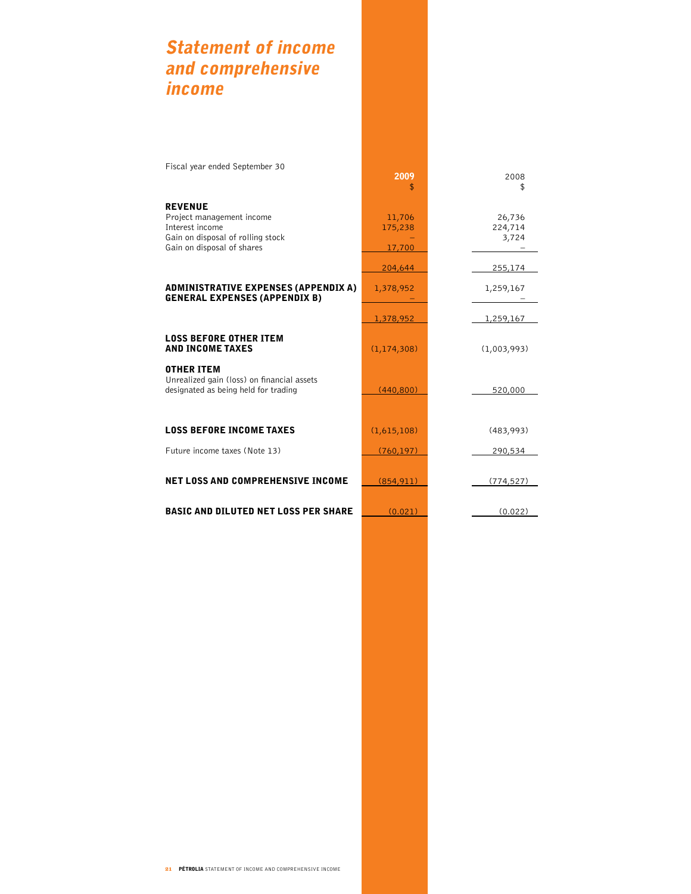# Statement of income and comprehensive income

| Fiscal year ended September 30                                                                                                    | 2009<br>\$                  | 2008<br>\$                 |
|-----------------------------------------------------------------------------------------------------------------------------------|-----------------------------|----------------------------|
| <b>REVENUE</b><br>Project management income<br>Interest income<br>Gain on disposal of rolling stock<br>Gain on disposal of shares | 11,706<br>175,238<br>17,700 | 26,736<br>224,714<br>3,724 |
|                                                                                                                                   | 204,644                     | 255,174                    |
| <b>ADMINISTRATIVE EXPENSES (APPENDIX A)</b><br><b>GENERAL EXPENSES (APPENDIX B)</b>                                               | 1,378,952                   | 1,259,167                  |
|                                                                                                                                   | 1,378,952                   | 1,259,167                  |
| <b>LOSS BEFORE OTHER ITEM</b><br><b>AND INCOME TAXES</b>                                                                          | (1, 174, 308)               | (1,003,993)                |
| <b>OTHER ITEM</b><br>Unrealized gain (loss) on financial assets<br>designated as being held for trading                           | (440, 800)                  | 520,000                    |
|                                                                                                                                   |                             |                            |
| <b>LOSS BEFORE INCOME TAXES</b>                                                                                                   | (1,615,108)                 | (483,993)                  |
| Future income taxes (Note 13)                                                                                                     | (760, 197)                  | 290,534                    |
| <b>NET LOSS AND COMPREHENSIVE INCOME</b>                                                                                          | (854, 911)                  | (774, 527)                 |
| <b>BASIC AND DILUTED NET LOSS PER SHARE</b>                                                                                       | (0.021)                     | (0.022)                    |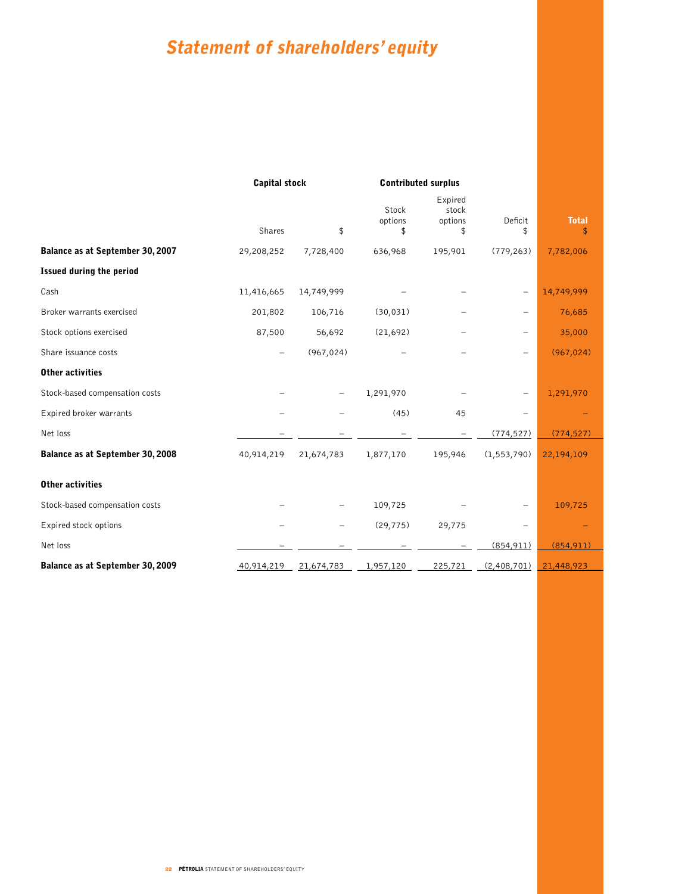# Statement of shareholders' equity

|                                  |            | <b>Capital stock</b> |                        | <b>Contributed surplus</b>        |               |                    |
|----------------------------------|------------|----------------------|------------------------|-----------------------------------|---------------|--------------------|
|                                  | Shares     | \$                   | Stock<br>options<br>\$ | Expired<br>stock<br>options<br>\$ | Deficit<br>\$ | <b>Total</b><br>\$ |
| Balance as at September 30, 2007 | 29,208,252 | 7,728,400            | 636,968                | 195,901                           | (779, 263)    | 7,782,006          |
| <b>Issued during the period</b>  |            |                      |                        |                                   |               |                    |
| Cash                             | 11,416,665 | 14,749,999           |                        |                                   |               | 14,749,999         |
| Broker warrants exercised        | 201,802    | 106,716              | (30, 031)              |                                   |               | 76,685             |
| Stock options exercised          | 87,500     | 56,692               | (21,692)               |                                   | $\equiv$      | 35,000             |
| Share issuance costs             | -          | (967, 024)           |                        |                                   |               | (967, 024)         |
| <b>Other activities</b>          |            |                      |                        |                                   |               |                    |
| Stock-based compensation costs   |            | -                    | 1,291,970              |                                   |               | 1,291,970          |
| Expired broker warrants          |            |                      | (45)                   | 45                                |               |                    |
| Net loss                         |            |                      |                        |                                   | (774, 527)    | (774, 527)         |
| Balance as at September 30, 2008 | 40,914,219 | 21,674,783           | 1,877,170              | 195,946                           | (1, 553, 790) | 22,194,109         |
| <b>Other activities</b>          |            |                      |                        |                                   |               |                    |
| Stock-based compensation costs   |            |                      | 109,725                |                                   |               | 109,725            |
| Expired stock options            |            |                      | (29, 775)              | 29,775                            |               |                    |
| Net loss                         |            |                      |                        |                                   | (854, 911)    | (854, 911)         |
| Balance as at September 30, 2009 | 40,914,219 | 21,674,783           | 1,957,120              | 225,721                           | (2,408,701)   | 21,448,923         |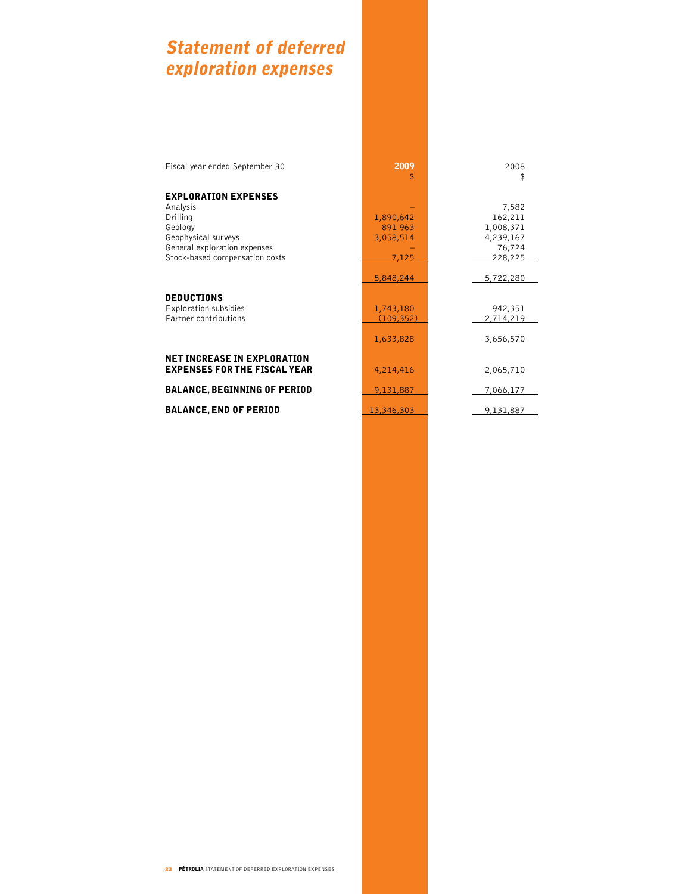# Statement of deferred exploration expenses

#### EXPLORATION E

#### NET INCREASE IN EXPLORATION **EXPENSES FOR THE FISCAL YEAR**

| Fiscal year ended September 30      | 2009<br>\$ | 2008<br>\$ |
|-------------------------------------|------------|------------|
| <b>EXPLORATION EXPENSES</b>         |            |            |
| Analysis                            |            | 7,582      |
| Drilling                            | 1,890,642  | 162,211    |
| Geology                             | 891 963    | 1,008,371  |
| Geophysical surveys                 | 3,058,514  | 4,239,167  |
| General exploration expenses        |            | 76,724     |
| Stock-based compensation costs      | 7,125      | 228,225    |
|                                     |            |            |
|                                     | 5,848,244  | 5,722,280  |
|                                     |            |            |
| <b>DEDUCTIONS</b>                   |            |            |
| Exploration subsidies               | 1,743,180  | 942,351    |
| Partner contributions               | (109, 352) | 2,714,219  |
|                                     |            |            |
|                                     | 1,633,828  | 3,656,570  |
|                                     |            |            |
| <b>NET INCREASE IN EXPLORATION</b>  |            |            |
| <b>EXPENSES FOR THE FISCAL YEAR</b> | 4,214,416  | 2,065,710  |
| <b>BALANCE, BEGINNING OF PERIOD</b> | 9,131,887  | 7,066,177  |
|                                     |            |            |
| <b>BALANCE, END OF PERIOD</b>       | 13,346,303 | 9,131,887  |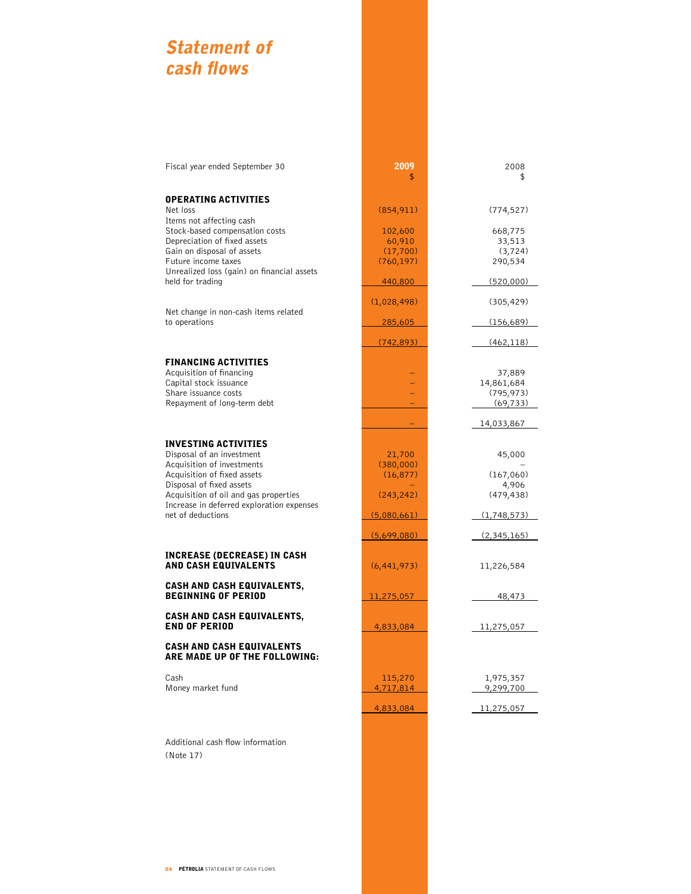# Statement of cash flows

#### OPERATING ACTIVITIES

#### FINANCING ACTIVITIES

### INVESTING ACTIVITIES

#### INCREASE (DECREASE) IN CASH **AND CASH EQUIVALENTS**

#### CASH AND CASH EQUIVALENTS, END OF PERIOD

#### CASH AND CASH EQUIV ARE MADE UP OF THE FOLLOWING:

Additional cash flow information (Note 17)

| Fiscal year ended September 30                                    | 2009<br>\$    | 2008<br>\$  |
|-------------------------------------------------------------------|---------------|-------------|
| <b>OPERATING ACTIVITIES</b>                                       |               |             |
| Net loss<br>Items not affecting cash                              | (854, 911)    | (774, 527)  |
| Stock-based compensation costs                                    | 102,600       | 668,775     |
| Depreciation of fixed assets                                      | 60,910        | 33,513      |
| Gain on disposal of assets                                        | (17, 700)     | (3, 724)    |
| Future income taxes                                               | (760, 197)    | 290,534     |
| Unrealized loss (gain) on financial assets                        |               |             |
| held for trading                                                  | 440,800       | (520,000)   |
|                                                                   | (1,028,498)   | (305, 429)  |
| Net change in non-cash items related                              |               |             |
| to operations                                                     | 285,605       | (156,689)   |
|                                                                   | (742, 893)    | (462, 118)  |
| <b>FINANCING ACTIVITIES</b>                                       |               |             |
| Acquisition of financing                                          |               | 37,889      |
| Capital stock issuance                                            |               | 14,861,684  |
| Share issuance costs                                              |               | (795, 973)  |
| Repayment of long-term debt                                       |               | (69, 733)   |
|                                                                   |               | 14,033,867  |
| INVESTING ACTIVITIES                                              |               |             |
| Disposal of an investment                                         | 21,700        | 45,000      |
| Acquisition of investments                                        | (380,000)     |             |
| Acquisition of fixed assets                                       | (16, 877)     | (167,060)   |
| Disposal of fixed assets                                          |               | 4,906       |
| Acquisition of oil and gas properties                             | (243, 242)    | (479, 438)  |
| Increase in deferred exploration expenses<br>net of deductions    | (5,080,661)   | (1,748,573) |
|                                                                   |               |             |
|                                                                   | (5,699,080)   | (2,345,165) |
| INCREASE (DECREASE) IN CASH<br><b>AND CASH EQUIVALENTS</b>        | (6, 441, 973) | 11,226,584  |
|                                                                   |               |             |
| <b>CASH AND CASH EQUIVALENTS,</b><br><b>BEGINNING OF PERIOD</b>   | 11,275,057    | 48,473      |
|                                                                   |               |             |
| <b>CASH AND CASH EQUIVALENTS,</b><br><b>END OF PERIOD</b>         | 4,833,084     | 11,275,057  |
|                                                                   |               |             |
| <b>CASH AND CASH EQUIVALENTS</b><br>ARE MADE UP OF THE FOLLOWING: |               |             |
| Cash                                                              | 115,270       | 1,975,357   |
| Money market fund                                                 | 4,717,814     | 9,299,700   |
|                                                                   | 4,833,084     | 11,275,057  |
|                                                                   |               |             |
|                                                                   |               |             |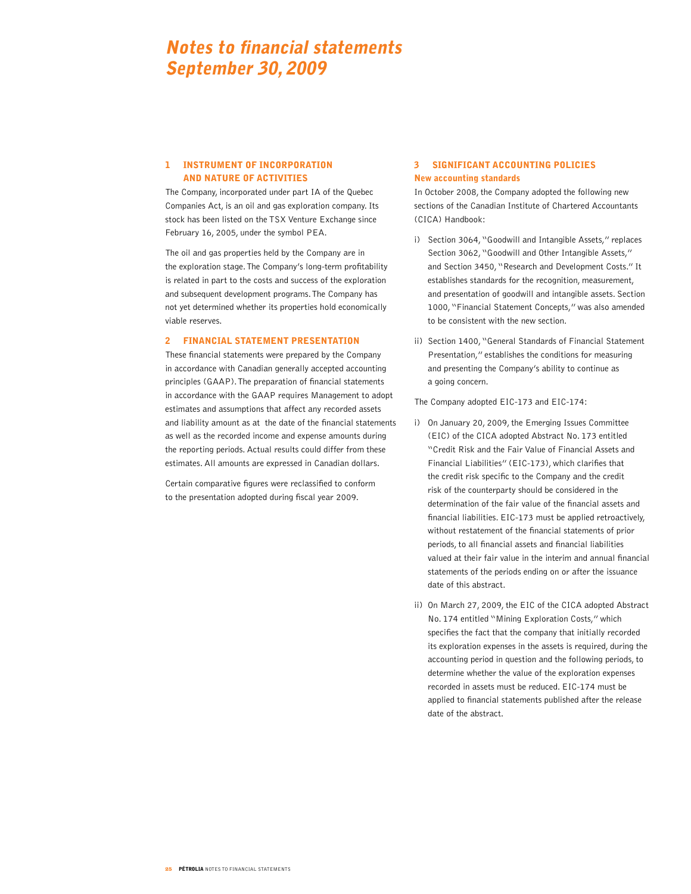# Notes to financial statements September 30, 2009

### 1 INSTRUMENT OF INCORPORATION AND NATURE OF ACTIVITIES

The Company, incorporated under part IA of the Quebec Companies Act, is an oil and gas exploration company. Its stock has been listed on the TSX Venture Exchange since February 16, 2005, under the symbol PEA.

The oil and gas properties held by the Company are in the exploration stage. The Company's long-term profitability is related in part to the costs and success of the exploration and subsequent development programs. The Company has not yet determined whether its properties hold economically viable reserves.

#### 2 Financial statement presentation

These financial statements were prepared by the Company in accordance with Canadian generally accepted accounting principles (GAAP). The preparation of financial statements in accordance with the GAAP requires Management to adopt estimates and assumptions that affect any recorded assets and liability amount as at the date of the financial statements as well as the recorded income and expense amounts during the reporting periods. Actual results could differ from these estimates. All amounts are expressed in Canadian dollars.

Certain comparative figures were reclassified to conform to the presentation adopted during fiscal year 2009.

### 3 SIGNIFICANT ACCOUNTING POLICIES New accounting standards

In October 2008, the Company adopted the following new sections of the Canadian Institute of Chartered Accountants (CICA) Handbook:

- i) Section 3064, "Goodwill and Intangible Assets," replaces Section 3062, "Goodwill and Other Intangible Assets," and Section 3450, "Research and Development Costs." It establishes standards for the recognition, measurement, and presentation of goodwill and intangible assets. Section 1000, "Financial Statement Concepts," was also amended to be consistent with the new section.
- ii) Section 1400, "General Standards of Financial Statement Presentation," establishes the conditions for measuring and presenting the Company's ability to continue as a going concern.

The Company adopted EIC-173 and EIC-174:

- i) On January 20, 2009, the Emerging Issues Committee (EIC) of the CICA adopted Abstract No. 173 entitled "Credit Risk and the Fair Value of Financial Assets and Financial Liabilities" (EIC-173), which clarifies that the credit risk specific to the Company and the credit risk of the counterparty should be considered in the determination of the fair value of the financial assets and financial liabilities. EIC-173 must be applied retroactively, without restatement of the financial statements of prior periods, to all financial assets and financial liabilities valued at their fair value in the interim and annual financial statements of the periods ending on or after the issuance date of this abstract.
- ii) On March 27, 2009, the EIC of the CICA adopted Abstract No. 174 entitled "Mining Exploration Costs," which specifies the fact that the company that initially recorded its exploration expenses in the assets is required, during the accounting period in question and the following periods, to determine whether the value of the exploration expenses recorded in assets must be reduced. EIC-174 must be applied to financial statements published after the release date of the abstract.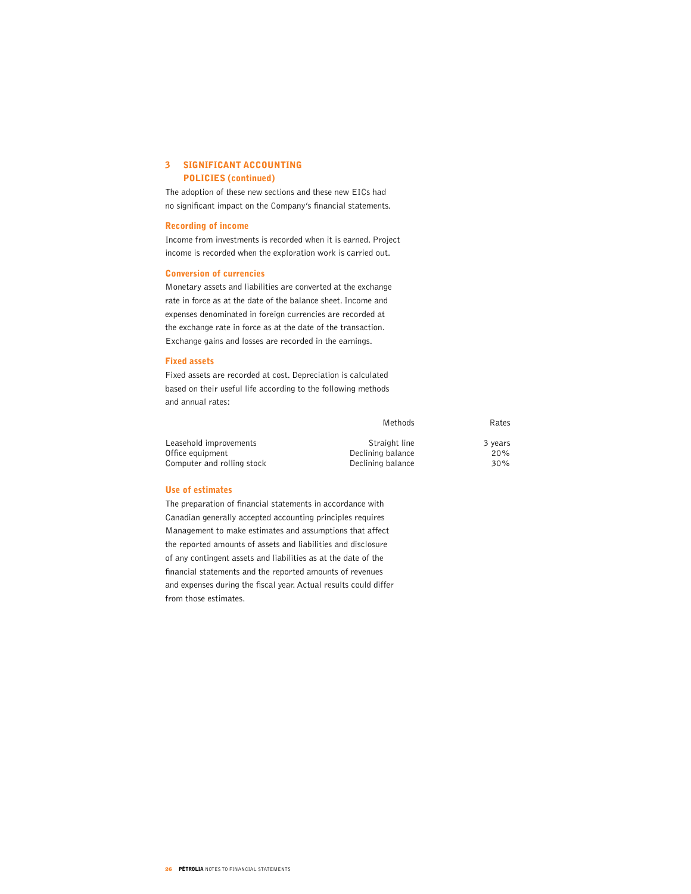### 3 SIGNIFICANT ACCOUNTING POLICIES (continued)

The adoption of these new sections and these new EICs had no significant impact on the Company's financial statements.

#### Recording of income

Income from investments is recorded when it is earned. Project income is recorded when the exploration work is carried out.

#### Conversion of currencies

Monetary assets and liabilities are converted at the exchange rate in force as at the date of the balance sheet. Income and expenses denominated in foreign currencies are recorded at the exchange rate in force as at the date of the transaction. Exchange gains and losses are recorded in the earnings.

#### Fixed assets

Fixed assets are recorded at cost. Depreciation is calculated based on their useful life according to the following methods and annual rates:

|                            | Methods           | Rates   |
|----------------------------|-------------------|---------|
| Leasehold improvements     | Straight line     | 3 years |
| Office equipment           | Declining balance | 20%     |
| Computer and rolling stock | Declining balance | 30%     |

#### Use of estimates

The preparation of financial statements in accordance with Canadian generally accepted accounting principles requires Management to make estimates and assumptions that affect the reported amounts of assets and liabilities and disclosure of any contingent assets and liabilities as at the date of the financial statements and the reported amounts of revenues and expenses during the fiscal year. Actual results could differ from those estimates.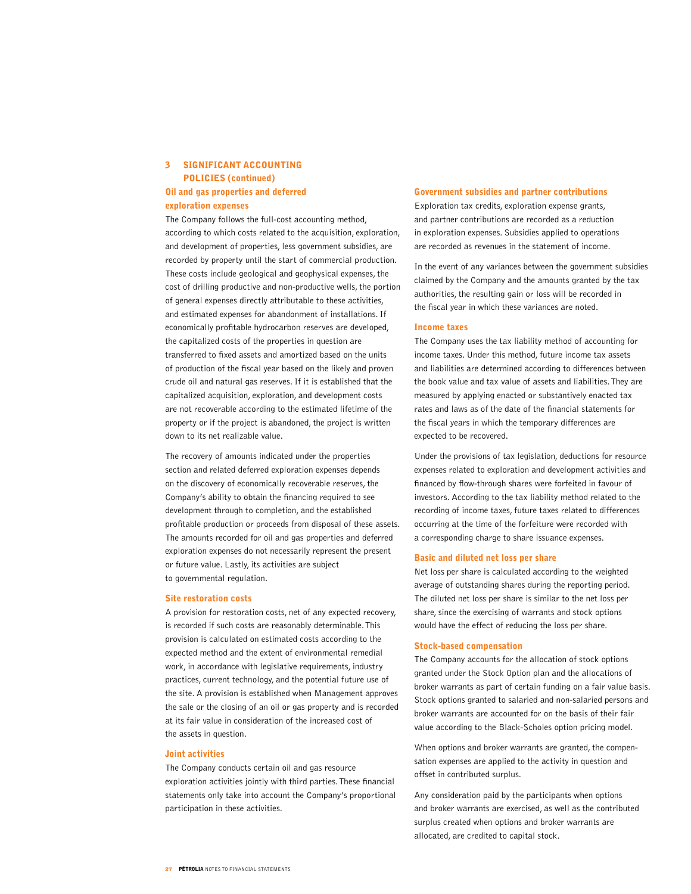# 3 SIGNIFICANT ACCOUNTING POLICIES (continued) Oil and gas properties and deferred exploration expenses

The Company follows the full-cost accounting method, according to which costs related to the acquisition, exploration, and development of properties, less government subsidies, are recorded by property until the start of commercial production. These costs include geological and geophysical expenses, the cost of drilling productive and non-productive wells, the portion of general expenses directly attributable to these activities, and estimated expenses for abandonment of installations. If economically profitable hydrocarbon reserves are developed, the capitalized costs of the properties in question are transferred to fixed assets and amortized based on the units of production of the fiscal year based on the likely and proven crude oil and natural gas reserves. If it is established that the capitalized acquisition, exploration, and development costs are not recoverable according to the estimated lifetime of the property or if the project is abandoned, the project is written down to its net realizable value.

The recovery of amounts indicated under the properties section and related deferred exploration expenses depends on the discovery of economically recoverable reserves, the Company's ability to obtain the financing required to see development through to completion, and the established profitable production or proceeds from disposal of these assets. The amounts recorded for oil and gas properties and deferred exploration expenses do not necessarily represent the present or future value. Lastly, its activities are subject to governmental regulation.

#### Site restoration costs

A provision for restoration costs, net of any expected recovery, is recorded if such costs are reasonably determinable. This provision is calculated on estimated costs according to the expected method and the extent of environmental remedial work, in accordance with legislative requirements, industry practices, current technology, and the potential future use of the site. A provision is established when Management approves the sale or the closing of an oil or gas property and is recorded at its fair value in consideration of the increased cost of the assets in question.

#### Joint activities

The Company conducts certain oil and gas resource exploration activities jointly with third parties. These financial statements only take into account the Company's proportional participation in these activities.

#### Government subsidies and partner contributions

Exploration tax credits, exploration expense grants, and partner contributions are recorded as a reduction in exploration expenses. Subsidies applied to operations are recorded as revenues in the statement of income.

In the event of any variances between the government subsidies claimed by the Company and the amounts granted by the tax authorities, the resulting gain or loss will be recorded in the fiscal year in which these variances are noted.

#### Income taxes

The Company uses the tax liability method of accounting for income taxes. Under this method, future income tax assets and liabilities are determined according to differences between the book value and tax value of assets and liabilities. They are measured by applying enacted or substantively enacted tax rates and laws as of the date of the financial statements for the fiscal years in which the temporary differences are expected to be recovered.

Under the provisions of tax legislation, deductions for resource expenses related to exploration and development activities and financed by flow-through shares were forfeited in favour of investors. According to the tax liability method related to the recording of income taxes, future taxes related to differences occurring at the time of the forfeiture were recorded with a corresponding charge to share issuance expenses.

#### Basic and diluted net loss per share

Net loss per share is calculated according to the weighted average of outstanding shares during the reporting period. The diluted net loss per share is similar to the net loss per share, since the exercising of warrants and stock options would have the effect of reducing the loss per share.

#### Stock-based compensation

The Company accounts for the allocation of stock options granted under the Stock Option plan and the allocations of broker warrants as part of certain funding on a fair value basis. Stock options granted to salaried and non-salaried persons and broker warrants are accounted for on the basis of their fair value according to the Black-Scholes option pricing model.

When options and broker warrants are granted, the compensation expenses are applied to the activity in question and offset in contributed surplus.

Any consideration paid by the participants when options and broker warrants are exercised, as well as the contributed surplus created when options and broker warrants are allocated, are credited to capital stock.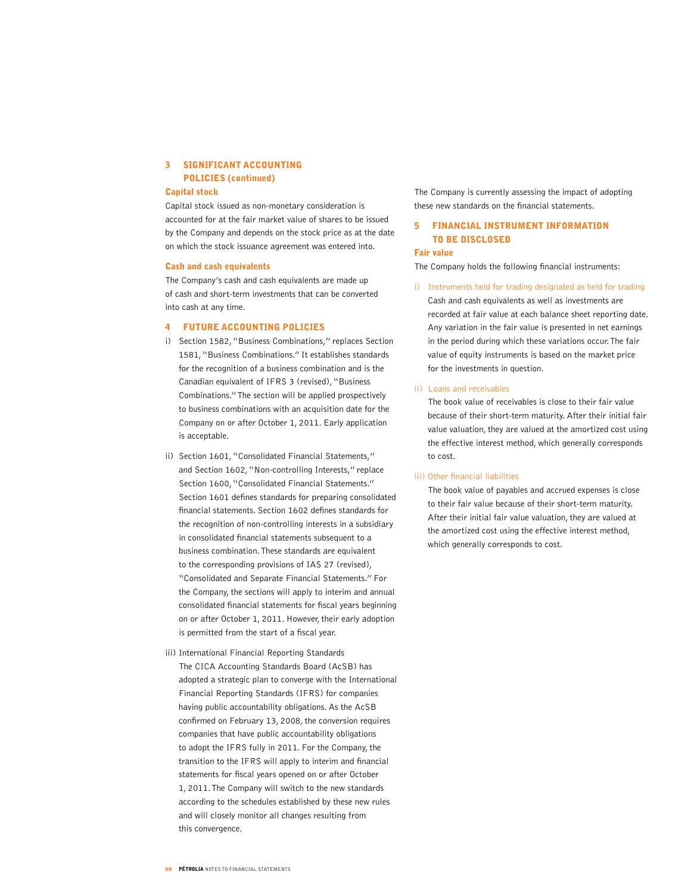# 3 SIGNIFICANT ACCOUNTING POLICIES (continued)

#### Capital stock

Capital stock issued as non-monetary consideration is accounted for at the fair market value of shares to be issued by the Company and depends on the stock price as at the date on which the stock issuance agreement was entered into.

#### Cash and cash equivalents

The Company's cash and cash equivalents are made up of cash and short-term investments that can be converted into cash at any time.

#### 4 FUTURE ACCOUNTING POLICIES

- i) Section 1582, "Business Combinations," replaces Section 1581, "Business Combinations." It establishes standards for the recognition of a business combination and is the Canadian equivalent of IFRS 3 (revised), "Business Combinations." The section will be applied prospectively to business combinations with an acquisition date for the Company on or after October 1, 2011. Early application is acceptable.
- ii) Section 1601, "Consolidated Financial Statements," and Section 1602, "Non-controlling Interests," replace Section 1600, "Consolidated Financial Statements." Section 1601 defines standards for preparing consolidated financial statements. Section 1602 defines standards for the recognition of non-controlling interests in a subsidiary in consolidated financial statements subsequent to a business combination. These standards are equivalent to the corresponding provisions of IAS 27 (revised), "Consolidated and Separate Financial Statements." For the Company, the sections will apply to interim and annual consolidated financial statements for fiscal years beginning on or after October 1, 2011. However, their early adoption is permitted from the start of a fiscal year.
- iii) International Financial Reporting Standards The CICA Accounting Standards Board (AcSB) has adopted a strategic plan to converge with the International Financial Reporting Standards (IFRS) for companies having public accountability obligations. As the AcSB confirmed on February 13, 2008, the conversion requires companies that have public accountability obligations to adopt the IFRS fully in 2011. For the Company, the transition to the IFRS will apply to interim and financial statements for fiscal years opened on or after October 1, 2011. The Company will switch to the new standards according to the schedules established by these new rules and will closely monitor all changes resulting from this convergence.

The Company is currently assessing the impact of adopting these new standards on the financial statements.

# 5 FINANCIAL INSTRUMENT INFORMATION TO BE DISCLOSED

#### Fair value

The Company holds the following financial instruments:

i) Instruments held for trading designated as held for trading Cash and cash equivalents as well as investments are recorded at fair value at each balance sheet reporting date. Any variation in the fair value is presented in net earnings in the period during which these variations occur. The fair value of equity instruments is based on the market price for the investments in question.

#### ii) Loans and receivables

The book value of receivables is close to their fair value because of their short-term maturity. After their initial fair value valuation, they are valued at the amortized cost using the effective interest method, which generally corresponds to cost.

#### iii) Other financial liabilities

The book value of payables and accrued expenses is close to their fair value because of their short-term maturity. After their initial fair value valuation, they are valued at the amortized cost using the effective interest method, which generally corresponds to cost.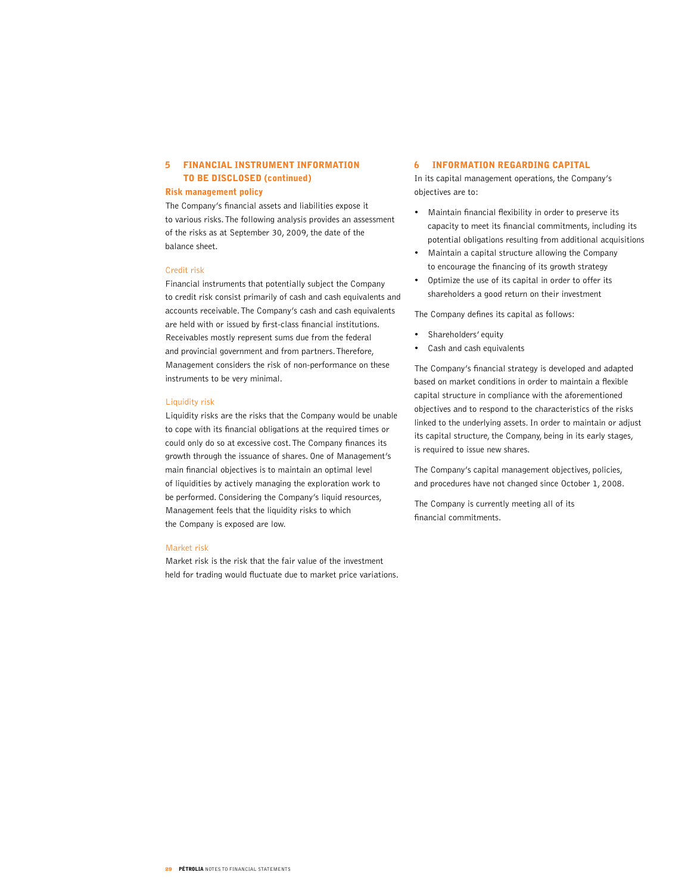# 5 FINANCIAL INSTRUMENT INFORMATION TO BE DISCLOSED (continued)

#### Risk management policy

The Company's financial assets and liabilities expose it to various risks. The following analysis provides an assessment of the risks as at September 30, 2009, the date of the balance sheet.

#### Credit risk

Financial instruments that potentially subject the Company to credit risk consist primarily of cash and cash equivalents and accounts receivable. The Company's cash and cash equivalents are held with or issued by first-class financial institutions. Receivables mostly represent sums due from the federal and provincial government and from partners. Therefore, Management considers the risk of non-performance on these instruments to be very minimal.

#### Liquidity risk

Liquidity risks are the risks that the Company would be unable to cope with its financial obligations at the required times or could only do so at excessive cost. The Company finances its growth through the issuance of shares. One of Management's main financial objectives is to maintain an optimal level of liquidities by actively managing the exploration work to be performed. Considering the Company's liquid resources, Management feels that the liquidity risks to which the Company is exposed are low.

#### Market risk

Market risk is the risk that the fair value of the investment held for trading would fluctuate due to market price variations.

#### 6 INFORMATION REGARDING CAPITAL

In its capital management operations, the Company's objectives are to:

- Maintain financial flexibility in order to preserve its capacity to meet its financial commitments, including its potential obligations resulting from additional acquisitions
- • Maintain a capital structure allowing the Company to encourage the financing of its growth strategy
- Optimize the use of its capital in order to offer its shareholders a good return on their investment

The Company defines its capital as follows:

- Shareholders' equity
- Cash and cash equivalents

The Company's financial strategy is developed and adapted based on market conditions in order to maintain a flexible capital structure in compliance with the aforementioned objectives and to respond to the characteristics of the risks linked to the underlying assets. In order to maintain or adjust its capital structure, the Company, being in its early stages, is required to issue new shares.

The Company's capital management objectives, policies, and procedures have not changed since October 1, 2008.

The Company is currently meeting all of its financial commitments.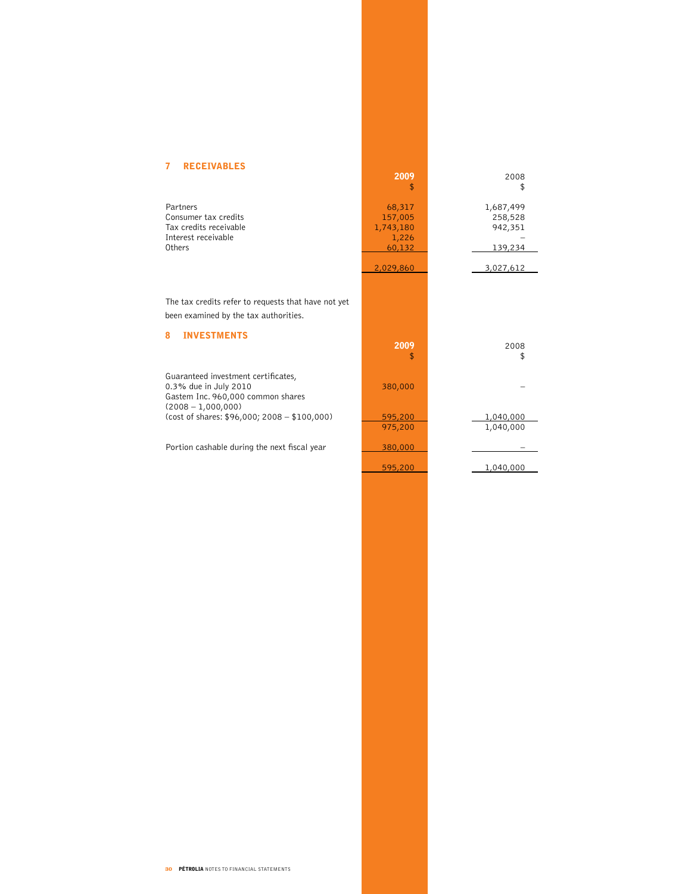# 7 RECEIVABLES

|                                                                                                                           | 2009<br>\$                                        | 2008<br>\$                                 |
|---------------------------------------------------------------------------------------------------------------------------|---------------------------------------------------|--------------------------------------------|
| Partners<br>Consumer tax credits<br>Tax credits receivable<br>Interest receivable<br>Others                               | 68,317<br>157,005<br>1,743,180<br>1,226<br>60,132 | 1,687,499<br>258,528<br>942,351<br>139,234 |
|                                                                                                                           | 2,029,860                                         | 3,027,612                                  |
| The tax credits refer to requests that have not yet<br>been examined by the tax authorities.<br><b>INVESTMENTS</b><br>8   | 2009                                              | 2008                                       |
|                                                                                                                           | \$                                                | \$                                         |
| Guaranteed investment certificates,<br>0.3% due in July 2010<br>Gastem Inc. 960,000 common shares<br>$(2008 - 1,000,000)$ | 380,000                                           |                                            |
| (cost of shares: $$96,000; 2008 - $100,000$ )                                                                             | 595,200                                           | 1,040,000                                  |
|                                                                                                                           | 975,200                                           | 1,040,000                                  |
| Portion cashable during the next fiscal year                                                                              | 380,000                                           |                                            |
|                                                                                                                           | 595,200                                           | 1,040,000                                  |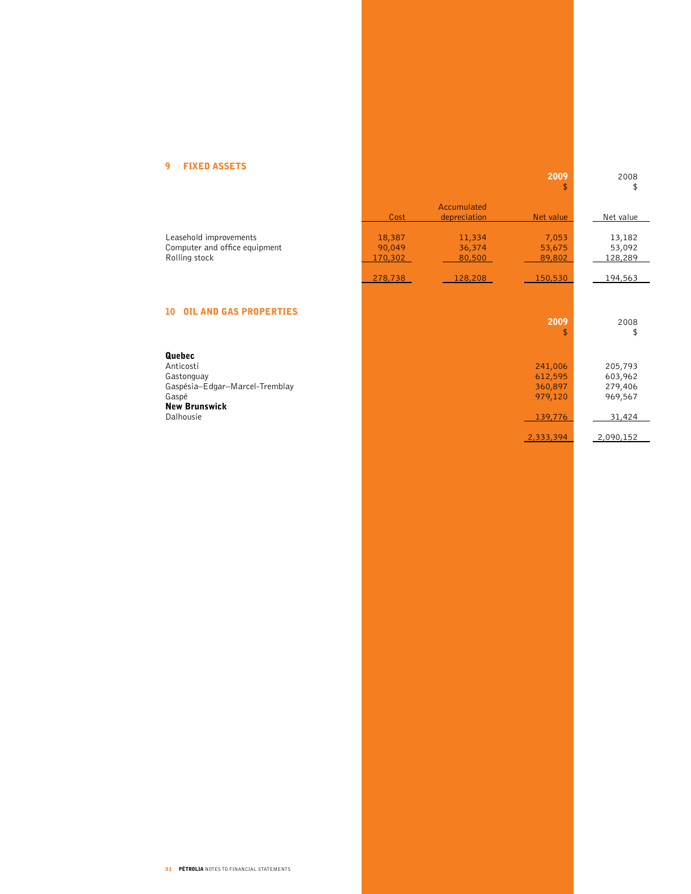# 9 FIXED ASSETS

| . <i></i> nvv                                                                                                     |                             |                             | 2009<br>\$                                          | 2008<br>\$                                         |
|-------------------------------------------------------------------------------------------------------------------|-----------------------------|-----------------------------|-----------------------------------------------------|----------------------------------------------------|
|                                                                                                                   | Cost                        | Accumulated<br>depreciation | Net value                                           | Net value                                          |
| Leasehold improvements<br>Computer and office equipment<br>Rolling stock                                          | 18,387<br>90,049<br>170,302 | 11,334<br>36,374<br>80,500  | 7,053<br>53,675<br>89,802                           | 13,182<br>53,092<br>128,289                        |
|                                                                                                                   | 278,738                     | 128,208                     | 150,530                                             | 194,563                                            |
| 10<br><b>OIL AND GAS PROPERTIES</b>                                                                               |                             |                             | 2009<br>\$                                          | 2008<br>\$                                         |
| Quebec<br>Anticosti<br>Gastonguay<br>Gaspésia-Edgar-Marcel-Tremblay<br>Gaspé<br><b>New Brunswick</b><br>Dalhousie |                             |                             | 241,006<br>612,595<br>360,897<br>979,120<br>139,776 | 205,793<br>603,962<br>279,406<br>969,567<br>31,424 |
|                                                                                                                   |                             |                             | 2,333,394                                           | 2,090,152                                          |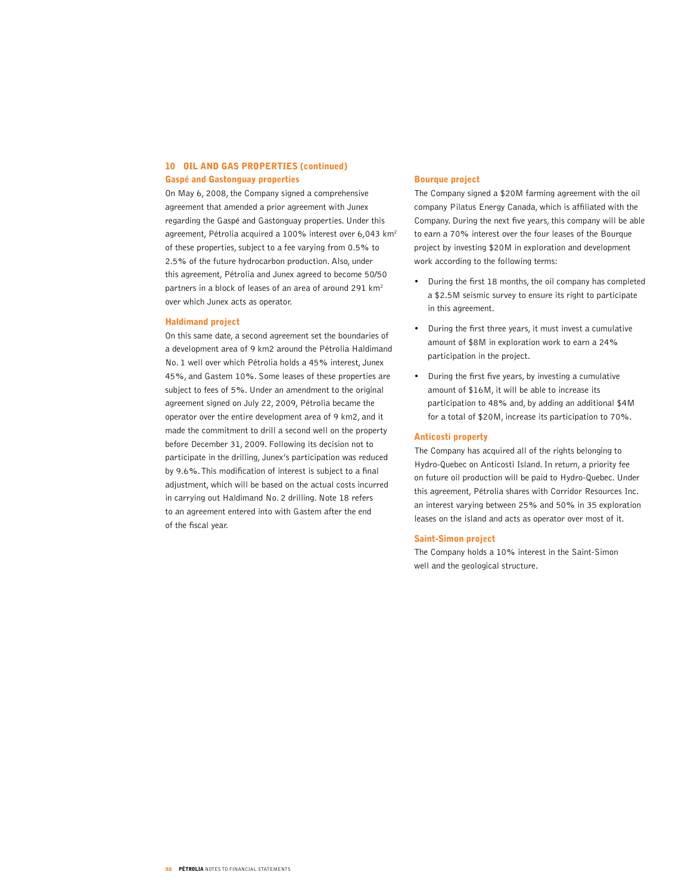### 10 OIL AND GAS PROPERTIES (continued) Gaspé and Gastonguay properties

On May 6, 2008, the Company signed a comprehensive agreement that amended a prior agreement with Junex regarding the Gaspé and Gastonguay properties. Under this agreement, Pétrolia acquired a 100% interest over 6,043 km2 of these properties, subject to a fee varying from 0.5% to 2.5% of the future hydrocarbon production. Also, under this agreement, Pétrolia and Junex agreed to become 50/50 partners in a block of leases of an area of around 291 km<sup>2</sup> over which Junex acts as operator.

#### Haldimand project

On this same date, a second agreement set the boundaries of a development area of 9 km2 around the Pétrolia Haldimand No. 1 well over which Pétrolia holds a 45% interest, Junex 45%, and Gastem 10%. Some leases of these properties are subject to fees of 5%. Under an amendment to the original agreement signed on July 22, 2009, Pétrolia became the operator over the entire development area of 9 km2, and it made the commitment to drill a second well on the property before December 31, 2009. Following its decision not to participate in the drilling, Junex's participation was reduced by 9.6%. This modification of interest is subject to a final adjustment, which will be based on the actual costs incurred in carrying out Haldimand No. 2 drilling. Note 18 refers to an agreement entered into with Gastem after the end of the fiscal year.

#### Bourque project

The Company signed a \$20M farming agreement with the oil company Pilatus Energy Canada, which is affiliated with the Company. During the next five years, this company will be able to earn a 70% interest over the four leases of the Bourque project by investing \$20M in exploration and development work according to the following terms:

- • During the first 18 months, the oil company has completed a \$2.5M seismic survey to ensure its right to participate in this agreement.
- • During the first three years, it must invest a cumulative amount of \$8M in exploration work to earn a 24% participation in the project.
- • During the first five years, by investing a cumulative amount of \$16M, it will be able to increase its participation to 48% and, by adding an additional \$4M for a total of \$20M, increase its participation to 70%.

#### Anticosti property

The Company has acquired all of the rights belonging to Hydro-Quebec on Anticosti Island. In return, a priority fee on future oil production will be paid to Hydro-Quebec. Under this agreement, Pétrolia shares with Corridor Resources Inc. an interest varying between 25% and 50% in 35 exploration leases on the island and acts as operator over most of it.

#### Saint-Simon project

The Company holds a 10% interest in the Saint-Simon well and the geological structure.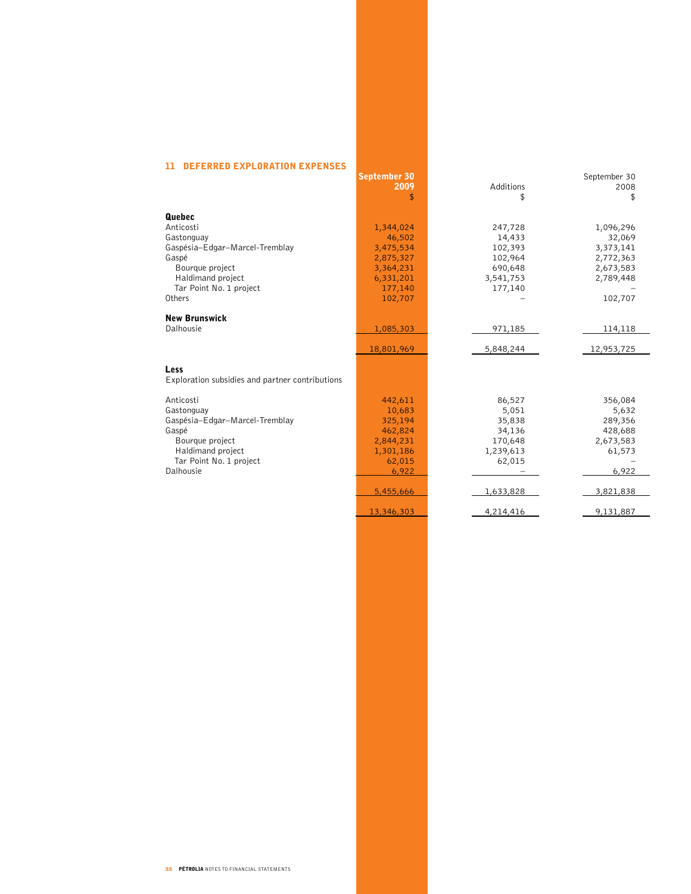# 11 DEFERRED EXPLORATION EXPENSES

|                                                 | <b>September 30</b> |           | September 30 |
|-------------------------------------------------|---------------------|-----------|--------------|
|                                                 | 2009                | Additions | 2008         |
|                                                 | \$                  | \$        | \$           |
|                                                 |                     |           |              |
| Quebec                                          |                     |           |              |
| Anticosti                                       | 1,344,024           | 247,728   | 1,096,296    |
| Gastonguay                                      | 46,502              | 14,433    | 32,069       |
| Gaspésia-Edgar-Marcel-Tremblay                  | 3,475,534           | 102,393   | 3,373,141    |
| Gaspé                                           | 2,875,327           | 102,964   | 2,772,363    |
| Bourque project                                 | 3,364,231           | 690,648   | 2,673,583    |
| Haldimand project                               | 6,331,201           | 3,541,753 | 2,789,448    |
| Tar Point No. 1 project                         | 177,140             | 177,140   |              |
| Others                                          | 102,707             |           | 102,707      |
|                                                 |                     |           |              |
| <b>New Brunswick</b>                            |                     |           |              |
| Dalhousie                                       | 1,085,303           | 971,185   | 114,118      |
|                                                 |                     |           |              |
|                                                 | 18,801,969          | 5,848,244 | 12,953,725   |
|                                                 |                     |           |              |
| Less                                            |                     |           |              |
| Exploration subsidies and partner contributions |                     |           |              |
|                                                 |                     |           |              |
| Anticosti                                       | 442,611             | 86,527    | 356,084      |
| Gastonguay                                      | 10,683              | 5,051     | 5,632        |
| Gaspésia-Edgar-Marcel-Tremblay                  | 325,194             | 35,838    | 289,356      |
| Gaspé                                           | 462,824             | 34,136    | 428,688      |
| Bourque project                                 | 2,844,231           | 170,648   | 2,673,583    |
| Haldimand project                               | 1,301,186           | 1,239,613 | 61,573       |
| Tar Point No. 1 project                         | 62,015              | 62,015    |              |
| Dalhousie                                       | 6,922               |           | 6,922        |
|                                                 |                     |           |              |
|                                                 | 5,455,666           | 1,633,828 | 3,821,838    |
|                                                 |                     |           |              |
|                                                 | 13,346,303          | 4,214,416 | 9,131,887    |
|                                                 |                     |           |              |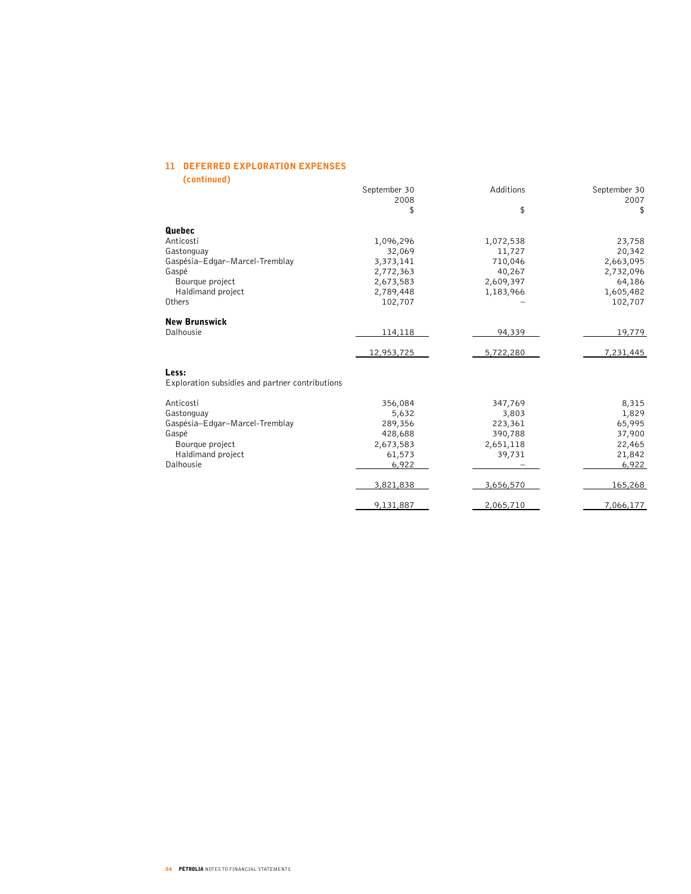# 11 DEFERRED EXPLORATION EXPENSES

(continued)

|                                                 | September 30<br>2008 | Additions | September 30<br>2007 |
|-------------------------------------------------|----------------------|-----------|----------------------|
|                                                 | \$                   | \$        | \$                   |
| Quebec                                          |                      |           |                      |
| Anticosti                                       | 1,096,296            | 1,072,538 | 23,758               |
| Gastonguay                                      | 32,069               | 11,727    | 20,342               |
| Gaspésia-Edgar-Marcel-Tremblay                  | 3,373,141            | 710,046   | 2,663,095            |
| Gaspé                                           | 2,772,363            | 40,267    | 2,732,096            |
| Bourque project                                 | 2,673,583            | 2,609,397 | 64,186               |
| Haldimand project                               | 2,789,448            | 1,183,966 | 1,605,482            |
| Others                                          | 102,707              |           | 102,707              |
| <b>New Brunswick</b>                            |                      |           |                      |
| Dalhousie                                       | 114,118              | 94,339    | 19,779               |
|                                                 | 12,953,725           | 5,722,280 | 7,231,445            |
| Less:                                           |                      |           |                      |
| Exploration subsidies and partner contributions |                      |           |                      |
| Anticosti                                       | 356,084              | 347,769   | 8,315                |
| Gastonguay                                      | 5,632                | 3,803     | 1,829                |
| Gaspésia-Edgar-Marcel-Tremblay                  | 289,356              | 223,361   | 65,995               |
| Gaspé                                           | 428,688              | 390,788   | 37,900               |
| Bourque project                                 | 2,673,583            | 2,651,118 | 22,465               |
| Haldimand project                               | 61,573               | 39,731    | 21,842               |
| Dalhousie                                       | 6,922                |           | 6,922                |
|                                                 | 3,821,838            | 3,656,570 | 165,268              |
|                                                 | 9,131,887            | 2,065,710 | 7,066,177            |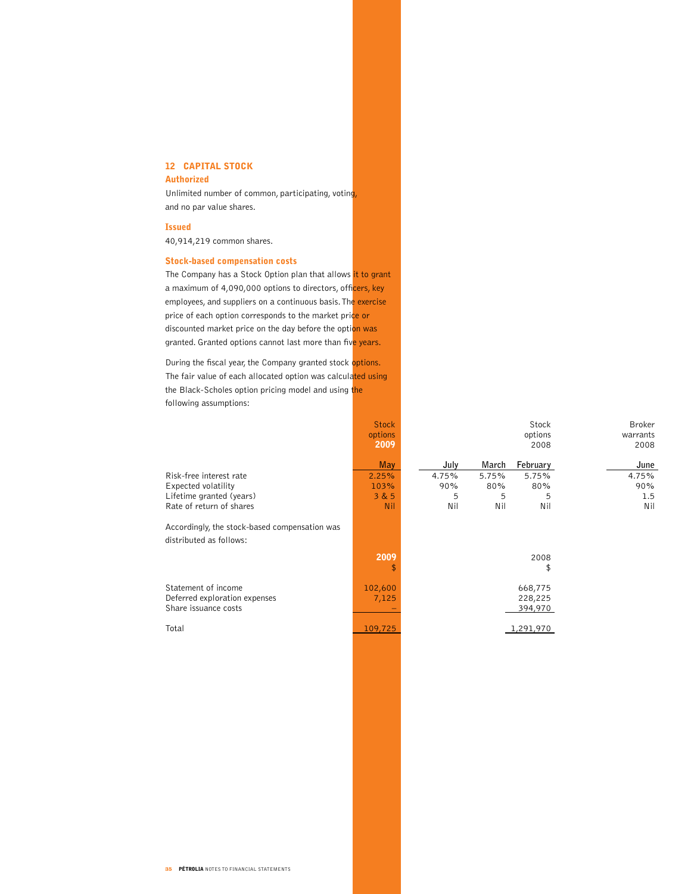# 12 CAPITAL STOCK

# Authorized

Unlimited number of common, participating, voting, and no par value shares.

#### Issued

40,914,219 common shares.

# Stock-based compensation costs

The Company has a Stock Option plan that allows it to grant a maximum of 4,090,000 options to directors, officers, key employees, and suppliers on a continuous basis. The exercise price of each option corresponds to the market price or discounted market price on the day before the option was granted. Granted options cannot last more than five years.

During the fiscal year, the Company granted stock options. The fair value of each allocated option was calculated using the Black-Scholes option pricing model and using the following assumptions:

|                                               | <b>Stock</b><br>options<br>2009 |       |       | Stock<br>options<br>2008 | <b>Broker</b><br>warrants<br>2008 |
|-----------------------------------------------|---------------------------------|-------|-------|--------------------------|-----------------------------------|
|                                               | <b>May</b>                      | July  | March | February                 | June                              |
| Risk-free interest rate                       | 2.25%                           | 4.75% | 5.75% | 5.75%                    | 4.75%                             |
| Expected volatility                           | 103%                            | 90%   | 80%   | 80%                      | 90%                               |
| Lifetime granted (years)                      | 3 & 5                           | 5     | 5     | 5                        | 1.5                               |
| Rate of return of shares                      | Nil                             | Nil   | Nil   | Nil                      | Nil                               |
| Accordingly, the stock-based compensation was |                                 |       |       |                          |                                   |
| distributed as follows:                       |                                 |       |       |                          |                                   |
|                                               | 2009                            |       |       | 2008                     |                                   |
|                                               |                                 |       |       | \$                       |                                   |
| Statement of income                           | 102,600                         |       |       | 668,775                  |                                   |
| Deferred exploration expenses                 | 7,125                           |       |       | 228,225                  |                                   |
| Share issuance costs                          |                                 |       |       | 394,970                  |                                   |
| Total                                         | 109,725                         |       |       | 1,291,970                |                                   |
|                                               |                                 |       |       |                          |                                   |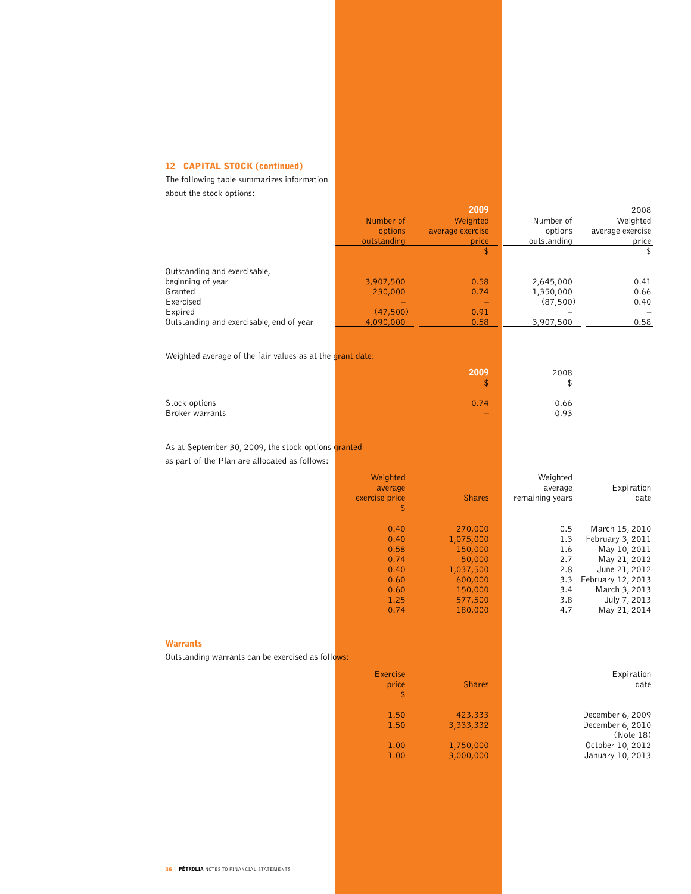# 12 CAPITAL STOCK (continued)

The following table summarizes information about the stock options:

|                                                                                                                                  | Number of<br>options<br>outstanding                                  | 2009<br>Weighted<br>average exercise<br>price<br>\$                                                | Number of<br>options<br>outstanding                         | 2008<br>Weighted<br>average exercise<br>price<br>\$                                                                                                       |
|----------------------------------------------------------------------------------------------------------------------------------|----------------------------------------------------------------------|----------------------------------------------------------------------------------------------------|-------------------------------------------------------------|-----------------------------------------------------------------------------------------------------------------------------------------------------------|
| Outstanding and exercisable,<br>beginning of year<br>Granted<br>Exercised<br>Expired<br>Outstanding and exercisable, end of year | 3,907,500<br>230,000<br>(47,500)<br>4,090,000                        | 0.58<br>0.74<br>-<br>0.91<br>0.58                                                                  | 2,645,000<br>1,350,000<br>(87, 500)<br>3,907,500            | 0.41<br>0.66<br>0.40<br>0.58                                                                                                                              |
| Weighted average of the fair values as at the grant date:                                                                        |                                                                      |                                                                                                    |                                                             |                                                                                                                                                           |
|                                                                                                                                  |                                                                      | 2009<br>\$                                                                                         | 2008<br>\$                                                  |                                                                                                                                                           |
| Stock options<br><b>Broker warrants</b>                                                                                          |                                                                      | 0.74                                                                                               | 0.66<br>0.93                                                |                                                                                                                                                           |
| As at September 30, 2009, the stock options granted<br>as part of the Plan are allocated as follows:                             |                                                                      |                                                                                                    |                                                             |                                                                                                                                                           |
|                                                                                                                                  | Weighted<br>average<br>exercise price<br>\$                          | <b>Shares</b>                                                                                      | Weighted<br>average<br>remaining years                      | Expiration<br>date                                                                                                                                        |
|                                                                                                                                  | 0.40<br>0.40<br>0.58<br>0.74<br>0.40<br>0.60<br>0.60<br>1.25<br>0.74 | 270,000<br>1,075,000<br>150,000<br>50,000<br>1,037,500<br>600,000<br>150,000<br>577,500<br>180,000 | 0.5<br>1.3<br>1.6<br>2.7<br>2.8<br>3.3<br>3.4<br>3.8<br>4.7 | March 15, 2010<br>February 3, 2011<br>May 10, 2011<br>May 21, 2012<br>June 21, 2012<br>February 12, 2013<br>March 3, 2013<br>July 7, 2013<br>May 21, 2014 |
| <b>Warrants</b><br>Outstanding warrants can be exercised as follows:                                                             |                                                                      |                                                                                                    |                                                             |                                                                                                                                                           |
|                                                                                                                                  | Exercise<br>price<br>\$                                              | <b>Shares</b>                                                                                      |                                                             | Expiration<br>date                                                                                                                                        |
|                                                                                                                                  | 1.50<br>1.50<br>1.00                                                 | 423,333<br>3,333,332<br>1,750,000                                                                  |                                                             | December 6, 2009<br>December 6, 2010<br>(Note 18)<br>October 10, 2012                                                                                     |
|                                                                                                                                  | 1.00                                                                 | 3,000,000                                                                                          |                                                             | January 10, 2013                                                                                                                                          |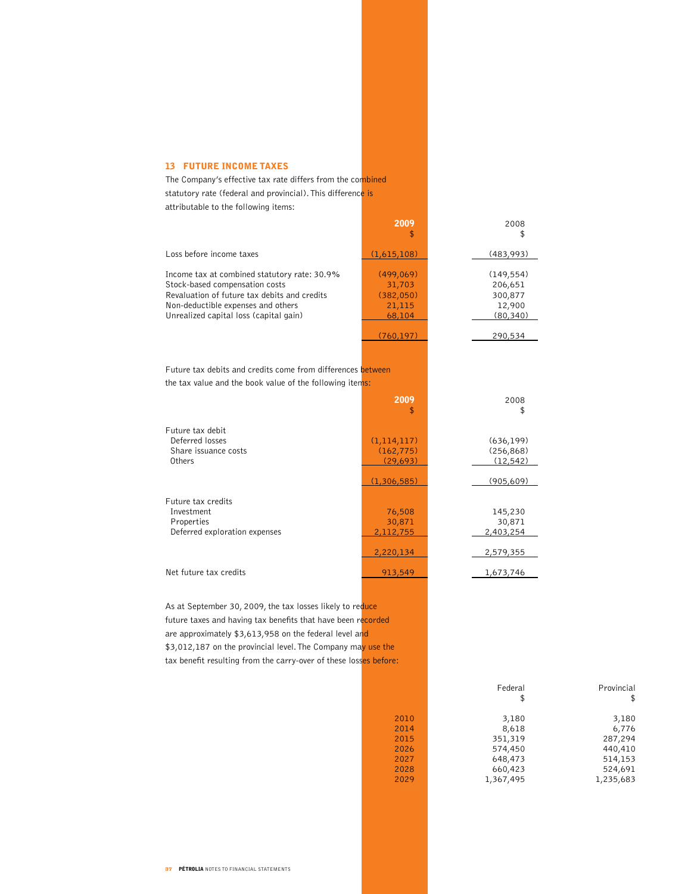### 13 FUTURE INCOME TAXES

The Company's effective tax rate differs from the combined statutory rate (federal and provincial). This difference is attributable to the following items:

|                                                                                                                                                                                                                | 2009                                                 | 2008                                                    |
|----------------------------------------------------------------------------------------------------------------------------------------------------------------------------------------------------------------|------------------------------------------------------|---------------------------------------------------------|
| Loss before income taxes                                                                                                                                                                                       | (1,615,108)                                          | (483,993)                                               |
| Income tax at combined statutory rate: 30.9%<br>Stock-based compensation costs<br>Revaluation of future tax debits and credits<br>Non-deductible expenses and others<br>Unrealized capital loss (capital gain) | (499,069)<br>31,703<br>(382,050)<br>21,115<br>68,104 | (149, 554)<br>206,651<br>300,877<br>12,900<br>(80, 340) |
|                                                                                                                                                                                                                | (760, 197)                                           | 290,534                                                 |
| Future tax debits and credits come from differences between<br>the tax value and the book value of the following items:                                                                                        |                                                      |                                                         |
|                                                                                                                                                                                                                | 2009<br>\$                                           | 2008<br>\$                                              |
| Future tax debit<br>Deferred losses<br>Share issuance costs<br>Others                                                                                                                                          | (1, 114, 117)<br>(162, 775)<br>(29, 693)             | (636, 199)<br>(256, 868)<br>(12, 542)                   |
|                                                                                                                                                                                                                | (1,306,585)                                          | (905,609)                                               |
| Future tax credits<br>Investment<br>Properties<br>Deferred exploration expenses                                                                                                                                | 76,508<br>30,871<br>2,112,755<br>2,220,134           | 145,230<br>30,871<br>2,403,254<br>2,579,355             |
| Net future tax credits                                                                                                                                                                                         | 913,549                                              | 1,673,746                                               |
|                                                                                                                                                                                                                |                                                      |                                                         |

As at September 30, 2009, the tax losses likely to reduce future taxes and having tax benefits that have been recorded are approximately \$3,613,958 on the federal level and \$3,012,187 on the provincial level. The Company may use the tax benefit resulting from the carry-over of these losses before:

|      | Federal<br>\$ | Provincial<br>\$ |
|------|---------------|------------------|
| 2010 | 3,180         | 3,180            |
| 2014 | 8,618         | 6,776            |
| 2015 | 351,319       | 287,294          |
| 2026 | 574,450       | 440,410          |
| 2027 | 648,473       | 514,153          |
| 2028 | 660,423       | 524,691          |
| 2029 | 1,367,495     | 1,235,683        |
|      |               |                  |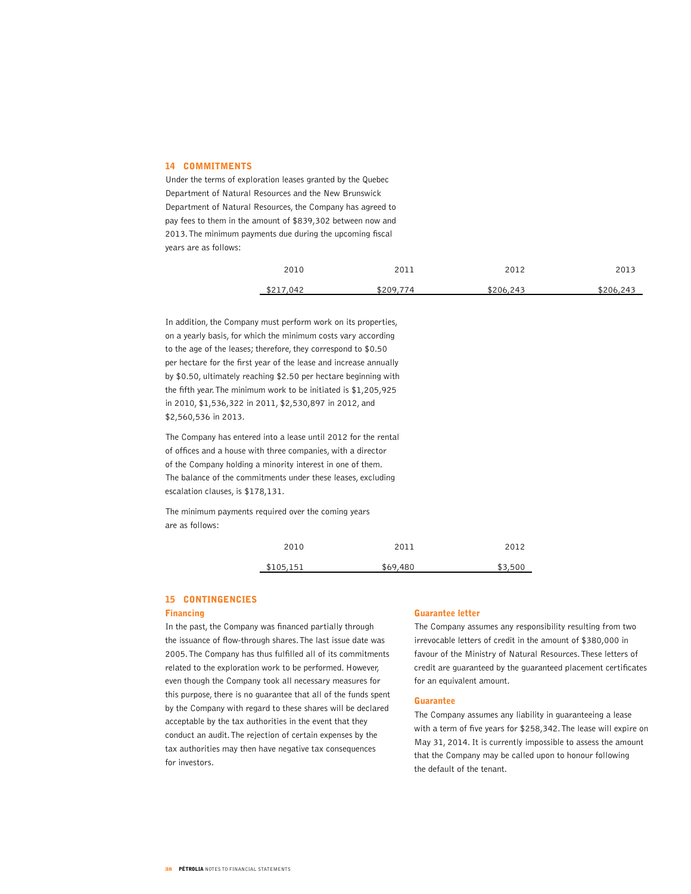#### 14 COMMITMENTS

Under the terms of exploration leases granted by the Quebec Department of Natural Resources and the New Brunswick Department of Natural Resources, the Company has agreed to pay fees to them in the amount of \$839,302 between now and 2013. The minimum payments due during the upcoming fiscal years are as follows:

| 2010      | 2011      | 2012      | 2013      |
|-----------|-----------|-----------|-----------|
| \$217,042 | \$209,774 | \$206,243 | \$206,243 |

In addition, the Company must perform work on its properties, on a yearly basis, for which the minimum costs vary according to the age of the leases; therefore, they correspond to \$0.50 per hectare for the first year of the lease and increase annually by \$0.50, ultimately reaching \$2.50 per hectare beginning with the fifth year. The minimum work to be initiated is \$1,205,925 in 2010, \$1,536,322 in 2011, \$2,530,897 in 2012, and \$2,560,536 in 2013.

The Company has entered into a lease until 2012 for the rental of offices and a house with three companies, with a director of the Company holding a minority interest in one of them. The balance of the commitments under these leases, excluding escalation clauses, is \$178,131.

The minimum payments required over the coming years are as follows:

| 2010      | 2011     | 2012    |
|-----------|----------|---------|
| \$105,151 | \$69,480 | \$3,500 |

#### 15 CONTINGENCIES

#### Financing

In the past, the Company was financed partially through the issuance of flow-through shares. The last issue date was 2005. The Company has thus fulfilled all of its commitments related to the exploration work to be performed. However, even though the Company took all necessary measures for this purpose, there is no guarantee that all of the funds spent by the Company with regard to these shares will be declared acceptable by the tax authorities in the event that they conduct an audit. The rejection of certain expenses by the tax authorities may then have negative tax consequences for investors.

#### Guarantee letter

The Company assumes any responsibility resulting from two irrevocable letters of credit in the amount of \$380,000 in favour of the Ministry of Natural Resources. These letters of credit are guaranteed by the guaranteed placement certificates for an equivalent amount.

#### Guarantee

The Company assumes any liability in guaranteeing a lease with a term of five years for \$258,342. The lease will expire on May 31, 2014. It is currently impossible to assess the amount that the Company may be called upon to honour following the default of the tenant.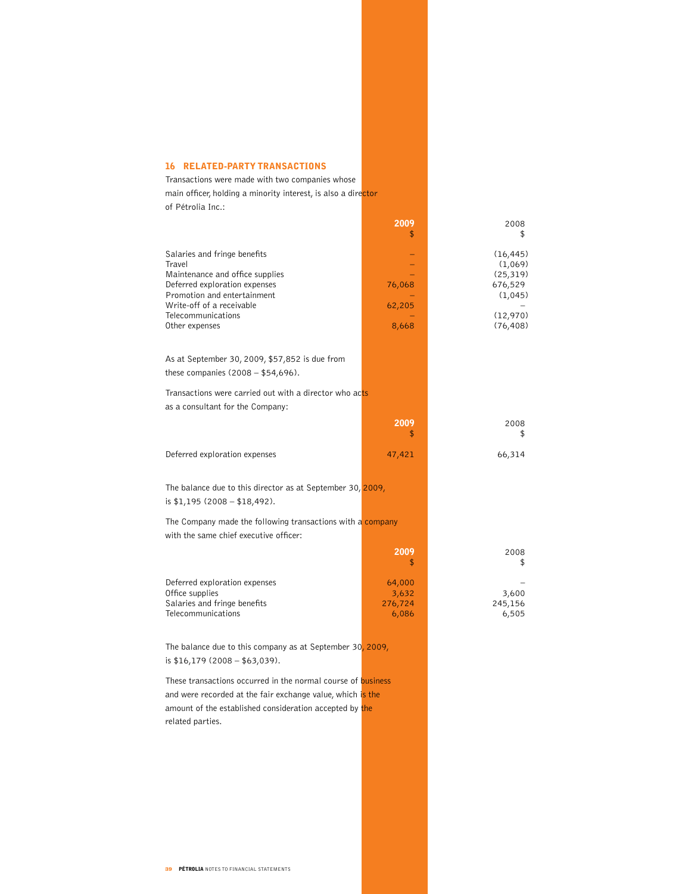### 16 RELATED-PARTY TRANSACTIONS

Transactions were made with two companies whose main officer, holding a minority interest, is also a director of Pétrolia Inc.:

|                                                                                                                                                                                                                | 2009                                | 2008<br>\$                                                                       |
|----------------------------------------------------------------------------------------------------------------------------------------------------------------------------------------------------------------|-------------------------------------|----------------------------------------------------------------------------------|
| Salaries and fringe benefits<br>Travel<br>Maintenance and office supplies<br>Deferred exploration expenses<br>Promotion and entertainment<br>Write-off of a receivable<br>Telecommunications<br>Other expenses | 76,068<br>62,205<br>8,668           | (16, 445)<br>(1,069)<br>(25, 319)<br>676,529<br>(1,045)<br>(12,970)<br>(76, 408) |
| As at September 30, 2009, \$57,852 is due from<br>these companies $(2008 - $54,696)$ .                                                                                                                         |                                     |                                                                                  |
| Transactions were carried out with a director who acts<br>as a consultant for the Company:                                                                                                                     |                                     |                                                                                  |
|                                                                                                                                                                                                                | 2009<br>\$                          | 2008<br>\$                                                                       |
| Deferred exploration expenses                                                                                                                                                                                  | 47,421                              | 66,314                                                                           |
| The balance due to this director as at September 30, 2009,<br>is $$1,195$ (2008 - $$18,492$ ).                                                                                                                 |                                     |                                                                                  |
| The Company made the following transactions with a company<br>with the same chief executive officer:                                                                                                           |                                     |                                                                                  |
|                                                                                                                                                                                                                | 2009<br>\$                          | 2008<br>\$                                                                       |
| Deferred exploration expenses<br>Office supplies<br>Salaries and fringe benefits<br>Telecommunications                                                                                                         | 64,000<br>3,632<br>276,724<br>6,086 | 3,600<br>245,156<br>6,505                                                        |

The balance due to this company as at September 30, 2009, is \$16,179 (2008 – \$63,039).

These transactions occurred in the normal course of business and were recorded at the fair exchange value, which is the amount of the established consideration accepted by the related parties.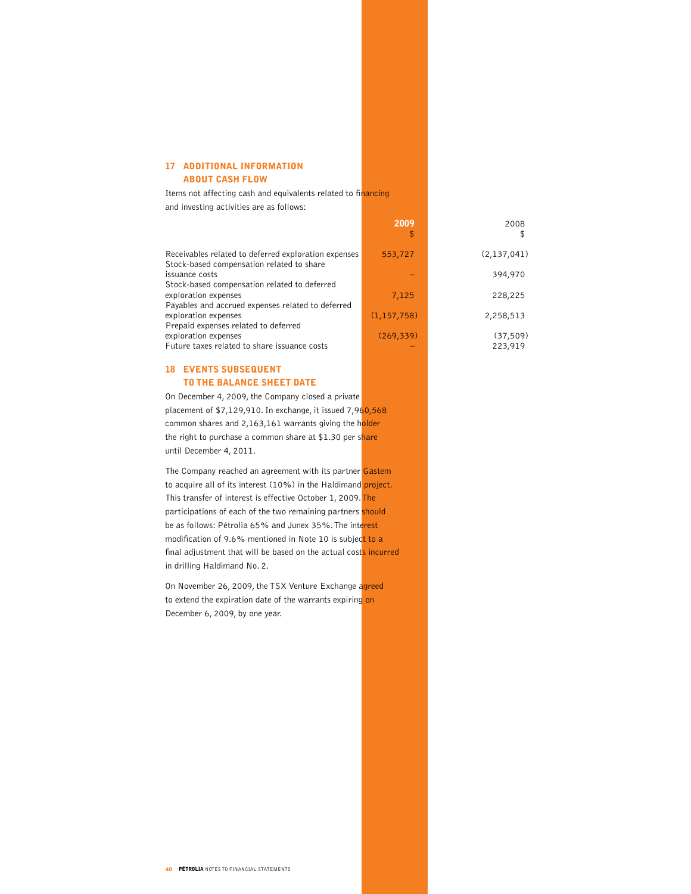### 17 ADDITIONAL INFORMATION ABOUT CASH FLOW

Items not affecting cash and equivalents related to financing and investing activities are as follows:

|                                                                                                   | 2009<br>\$    | 2008<br>\$           |
|---------------------------------------------------------------------------------------------------|---------------|----------------------|
| Receivables related to deferred exploration expenses<br>Stock-based compensation related to share | 553,727       | (2,137,041)          |
| issuance costs<br>Stock-based compensation related to deferred                                    |               | 394,970              |
| exploration expenses<br>Payables and accrued expenses related to deferred                         | 7,125         | 228,225              |
| exploration expenses<br>Prepaid expenses related to deferred                                      | (1, 157, 758) | 2,258,513            |
| exploration expenses<br>Future taxes related to share issuance costs                              | (269, 339)    | (37, 509)<br>223,919 |

### 18 EVENTS SUBSEQUENT TO THE BALANCE SHEET DATE

On December 4, 2009, the Company closed a private placement of \$7,129,910. In exchange, it issued 7,960,568 common shares and 2,163,161 warrants giving the holder the right to purchase a common share at \$1.30 per share until December 4, 2011.

The Company reached an agreement with its partner Gastem to acquire all of its interest (10%) in the Haldimand project. This transfer of interest is effective October 1, 2009. The participations of each of the two remaining partners should be as follows: Pétrolia 65% and Junex 35%. The interest modification of 9.6% mentioned in Note 10 is subject to a final adjustment that will be based on the actual costs incurred in drilling Haldimand No. 2.

On November 26, 2009, the TSX Venture Exchange agreed to extend the expiration date of the warrants expiring on December 6, 2009, by one year.